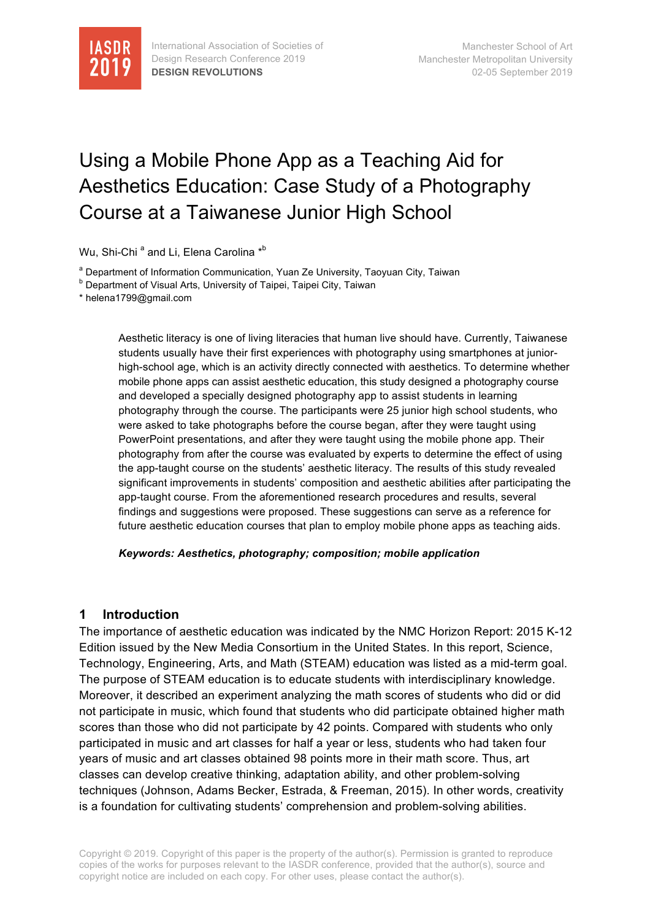

# Using a Mobile Phone App as a Teaching Aid for Aesthetics Education: Case Study of a Photography Course at a Taiwanese Junior High School

Wu, Shi-Chi <sup>a</sup> and Li, Elena Carolina \*<sup>b</sup>

a Department of Information Communication, Yuan Ze University, Taoyuan City, Taiwan

**b** Department of Visual Arts, University of Taipei, Taipei City, Taiwan

\* helena1799@gmail.com

Aesthetic literacy is one of living literacies that human live should have. Currently, Taiwanese students usually have their first experiences with photography using smartphones at juniorhigh-school age, which is an activity directly connected with aesthetics. To determine whether mobile phone apps can assist aesthetic education, this study designed a photography course and developed a specially designed photography app to assist students in learning photography through the course. The participants were 25 junior high school students, who were asked to take photographs before the course began, after they were taught using PowerPoint presentations, and after they were taught using the mobile phone app. Their photography from after the course was evaluated by experts to determine the effect of using the app-taught course on the students' aesthetic literacy. The results of this study revealed significant improvements in students' composition and aesthetic abilities after participating the app-taught course. From the aforementioned research procedures and results, several findings and suggestions were proposed. These suggestions can serve as a reference for future aesthetic education courses that plan to employ mobile phone apps as teaching aids.

*Keywords: Aesthetics, photography; composition; mobile application*

### **1 Introduction**

The importance of aesthetic education was indicated by the NMC Horizon Report: 2015 K-12 Edition issued by the New Media Consortium in the United States. In this report, Science, Technology, Engineering, Arts, and Math (STEAM) education was listed as a mid-term goal. The purpose of STEAM education is to educate students with interdisciplinary knowledge. Moreover, it described an experiment analyzing the math scores of students who did or did not participate in music, which found that students who did participate obtained higher math scores than those who did not participate by 42 points. Compared with students who only participated in music and art classes for half a year or less, students who had taken four years of music and art classes obtained 98 points more in their math score. Thus, art classes can develop creative thinking, adaptation ability, and other problem-solving techniques (Johnson, Adams Becker, Estrada, & Freeman, 2015). In other words, creativity is a foundation for cultivating students' comprehension and problem-solving abilities.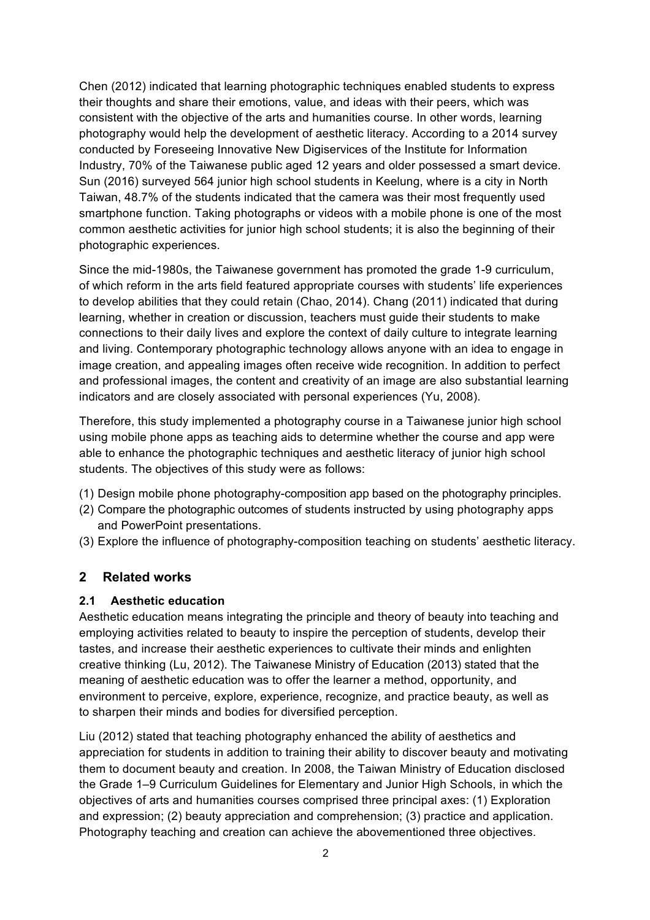Chen (2012) indicated that learning photographic techniques enabled students to express their thoughts and share their emotions, value, and ideas with their peers, which was consistent with the objective of the arts and humanities course. In other words, learning photography would help the development of aesthetic literacy. According to a 2014 survey conducted by Foreseeing Innovative New Digiservices of the Institute for Information Industry, 70% of the Taiwanese public aged 12 years and older possessed a smart device. Sun (2016) surveyed 564 junior high school students in Keelung, where is a city in North Taiwan, 48.7% of the students indicated that the camera was their most frequently used smartphone function. Taking photographs or videos with a mobile phone is one of the most common aesthetic activities for junior high school students; it is also the beginning of their photographic experiences.

Since the mid-1980s, the Taiwanese government has promoted the grade 1-9 curriculum, of which reform in the arts field featured appropriate courses with students' life experiences to develop abilities that they could retain (Chao, 2014). Chang (2011) indicated that during learning, whether in creation or discussion, teachers must guide their students to make connections to their daily lives and explore the context of daily culture to integrate learning and living. Contemporary photographic technology allows anyone with an idea to engage in image creation, and appealing images often receive wide recognition. In addition to perfect and professional images, the content and creativity of an image are also substantial learning indicators and are closely associated with personal experiences (Yu, 2008).

Therefore, this study implemented a photography course in a Taiwanese junior high school using mobile phone apps as teaching aids to determine whether the course and app were able to enhance the photographic techniques and aesthetic literacy of junior high school students. The objectives of this study were as follows:

- (1) Design mobile phone photography-composition app based on the photography principles.
- (2) Compare the photographic outcomes of students instructed by using photography apps and PowerPoint presentations.
- (3) Explore the influence of photography-composition teaching on students' aesthetic literacy.

### **2 Related works**

### **2.1 Aesthetic education**

Aesthetic education means integrating the principle and theory of beauty into teaching and employing activities related to beauty to inspire the perception of students, develop their tastes, and increase their aesthetic experiences to cultivate their minds and enlighten creative thinking (Lu, 2012). The Taiwanese Ministry of Education (2013) stated that the meaning of aesthetic education was to offer the learner a method, opportunity, and environment to perceive, explore, experience, recognize, and practice beauty, as well as to sharpen their minds and bodies for diversified perception.

Liu (2012) stated that teaching photography enhanced the ability of aesthetics and appreciation for students in addition to training their ability to discover beauty and motivating them to document beauty and creation. In 2008, the Taiwan Ministry of Education disclosed the Grade 1–9 Curriculum Guidelines for Elementary and Junior High Schools, in which the objectives of arts and humanities courses comprised three principal axes: (1) Exploration and expression; (2) beauty appreciation and comprehension; (3) practice and application. Photography teaching and creation can achieve the abovementioned three objectives.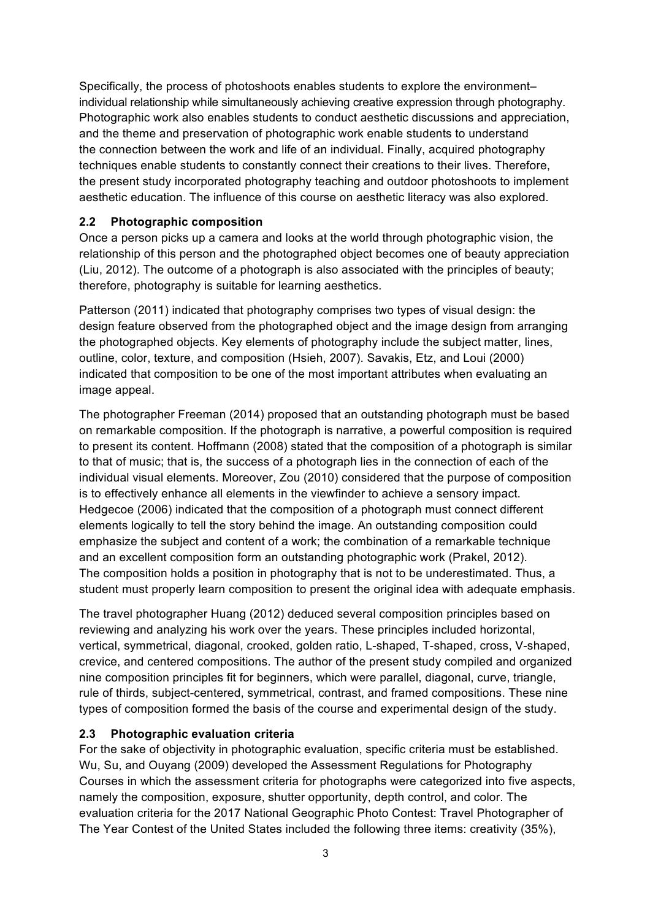Specifically, the process of photoshoots enables students to explore the environment– individual relationship while simultaneously achieving creative expression through photography. Photographic work also enables students to conduct aesthetic discussions and appreciation, and the theme and preservation of photographic work enable students to understand the connection between the work and life of an individual. Finally, acquired photography techniques enable students to constantly connect their creations to their lives. Therefore, the present study incorporated photography teaching and outdoor photoshoots to implement aesthetic education. The influence of this course on aesthetic literacy was also explored.

### **2.2 Photographic composition**

Once a person picks up a camera and looks at the world through photographic vision, the relationship of this person and the photographed object becomes one of beauty appreciation (Liu, 2012). The outcome of a photograph is also associated with the principles of beauty; therefore, photography is suitable for learning aesthetics.

Patterson (2011) indicated that photography comprises two types of visual design: the design feature observed from the photographed object and the image design from arranging the photographed objects. Key elements of photography include the subject matter, lines, outline, color, texture, and composition (Hsieh, 2007). Savakis, Etz, and Loui (2000) indicated that composition to be one of the most important attributes when evaluating an image appeal.

The photographer Freeman (2014) proposed that an outstanding photograph must be based on remarkable composition. If the photograph is narrative, a powerful composition is required to present its content. Hoffmann (2008) stated that the composition of a photograph is similar to that of music; that is, the success of a photograph lies in the connection of each of the individual visual elements. Moreover, Zou (2010) considered that the purpose of composition is to effectively enhance all elements in the viewfinder to achieve a sensory impact. Hedgecoe (2006) indicated that the composition of a photograph must connect different elements logically to tell the story behind the image. An outstanding composition could emphasize the subject and content of a work; the combination of a remarkable technique and an excellent composition form an outstanding photographic work (Prakel, 2012). The composition holds a position in photography that is not to be underestimated. Thus, a student must properly learn composition to present the original idea with adequate emphasis.

The travel photographer Huang (2012) deduced several composition principles based on reviewing and analyzing his work over the years. These principles included horizontal, vertical, symmetrical, diagonal, crooked, golden ratio, L-shaped, T-shaped, cross, V-shaped, crevice, and centered compositions. The author of the present study compiled and organized nine composition principles fit for beginners, which were parallel, diagonal, curve, triangle, rule of thirds, subject-centered, symmetrical, contrast, and framed compositions. These nine types of composition formed the basis of the course and experimental design of the study.

### **2.3 Photographic evaluation criteria**

For the sake of objectivity in photographic evaluation, specific criteria must be established. Wu, Su, and Ouyang (2009) developed the Assessment Regulations for Photography Courses in which the assessment criteria for photographs were categorized into five aspects, namely the composition, exposure, shutter opportunity, depth control, and color. The evaluation criteria for the 2017 National Geographic Photo Contest: Travel Photographer of The Year Contest of the United States included the following three items: creativity (35%),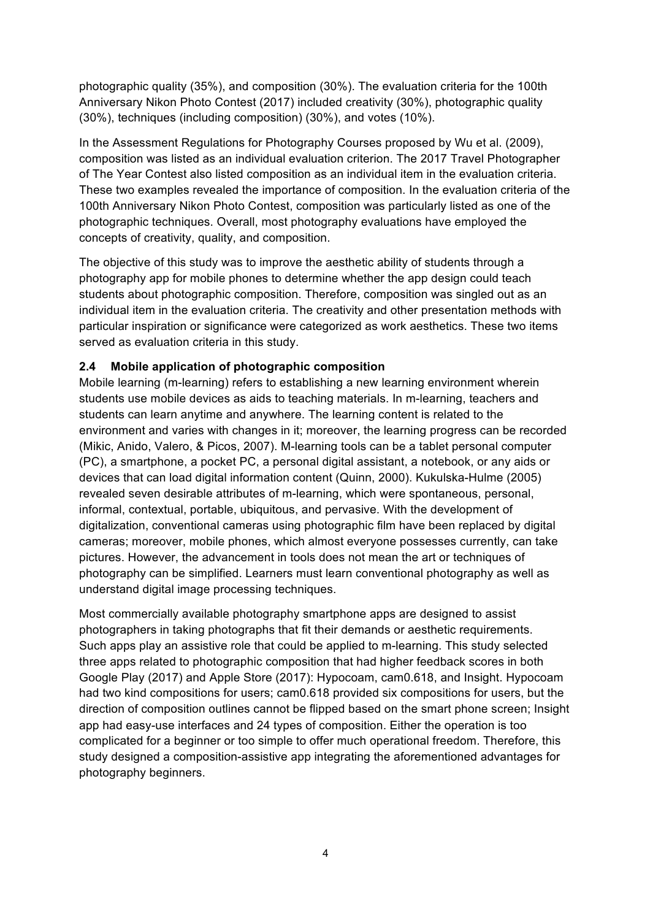photographic quality (35%), and composition (30%). The evaluation criteria for the 100th Anniversary Nikon Photo Contest (2017) included creativity (30%), photographic quality (30%), techniques (including composition) (30%), and votes (10%).

In the Assessment Regulations for Photography Courses proposed by Wu et al. (2009), composition was listed as an individual evaluation criterion. The 2017 Travel Photographer of The Year Contest also listed composition as an individual item in the evaluation criteria. These two examples revealed the importance of composition. In the evaluation criteria of the 100th Anniversary Nikon Photo Contest, composition was particularly listed as one of the photographic techniques. Overall, most photography evaluations have employed the concepts of creativity, quality, and composition.

The objective of this study was to improve the aesthetic ability of students through a photography app for mobile phones to determine whether the app design could teach students about photographic composition. Therefore, composition was singled out as an individual item in the evaluation criteria. The creativity and other presentation methods with particular inspiration or significance were categorized as work aesthetics. These two items served as evaluation criteria in this study.

### **2.4 Mobile application of photographic composition**

Mobile learning (m-learning) refers to establishing a new learning environment wherein students use mobile devices as aids to teaching materials. In m-learning, teachers and students can learn anytime and anywhere. The learning content is related to the environment and varies with changes in it; moreover, the learning progress can be recorded (Mikic, Anido, Valero, & Picos, 2007). M-learning tools can be a tablet personal computer (PC), a smartphone, a pocket PC, a personal digital assistant, a notebook, or any aids or devices that can load digital information content (Quinn, 2000). Kukulska-Hulme (2005) revealed seven desirable attributes of m-learning, which were spontaneous, personal, informal, contextual, portable, ubiquitous, and pervasive. With the development of digitalization, conventional cameras using photographic film have been replaced by digital cameras; moreover, mobile phones, which almost everyone possesses currently, can take pictures. However, the advancement in tools does not mean the art or techniques of photography can be simplified. Learners must learn conventional photography as well as understand digital image processing techniques.

Most commercially available photography smartphone apps are designed to assist photographers in taking photographs that fit their demands or aesthetic requirements. Such apps play an assistive role that could be applied to m-learning. This study selected three apps related to photographic composition that had higher feedback scores in both Google Play (2017) and Apple Store (2017): Hypocoam, cam0.618, and Insight. Hypocoam had two kind compositions for users; cam0.618 provided six compositions for users, but the direction of composition outlines cannot be flipped based on the smart phone screen; Insight app had easy-use interfaces and 24 types of composition. Either the operation is too complicated for a beginner or too simple to offer much operational freedom. Therefore, this study designed a composition-assistive app integrating the aforementioned advantages for photography beginners.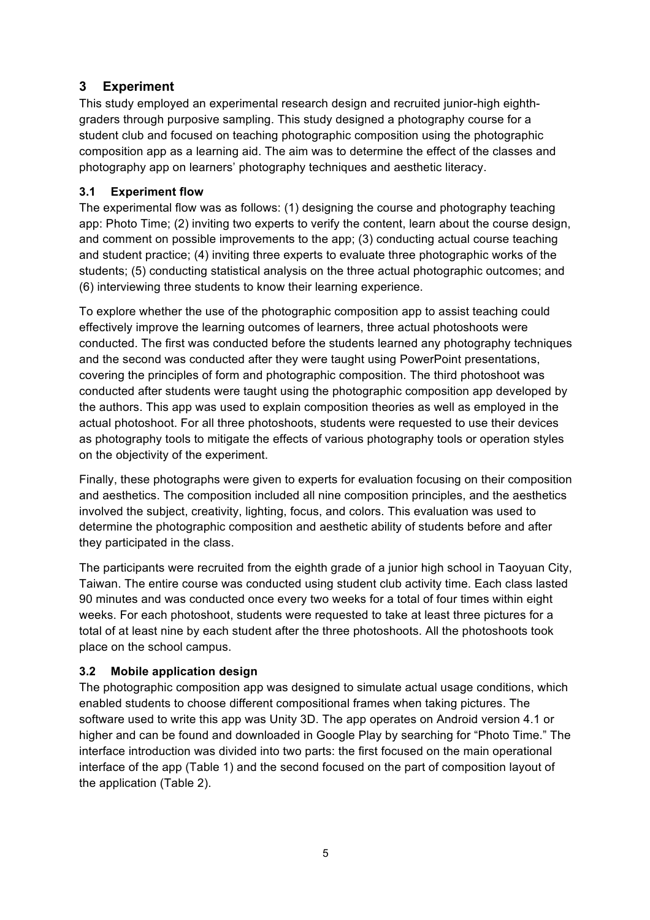# **3 Experiment**

This study employed an experimental research design and recruited junior-high eighthgraders through purposive sampling. This study designed a photography course for a student club and focused on teaching photographic composition using the photographic composition app as a learning aid. The aim was to determine the effect of the classes and photography app on learners' photography techniques and aesthetic literacy.

### **3.1 Experiment flow**

The experimental flow was as follows: (1) designing the course and photography teaching app: Photo Time; (2) inviting two experts to verify the content, learn about the course design, and comment on possible improvements to the app; (3) conducting actual course teaching and student practice; (4) inviting three experts to evaluate three photographic works of the students; (5) conducting statistical analysis on the three actual photographic outcomes; and (6) interviewing three students to know their learning experience.

To explore whether the use of the photographic composition app to assist teaching could effectively improve the learning outcomes of learners, three actual photoshoots were conducted. The first was conducted before the students learned any photography techniques and the second was conducted after they were taught using PowerPoint presentations, covering the principles of form and photographic composition. The third photoshoot was conducted after students were taught using the photographic composition app developed by the authors. This app was used to explain composition theories as well as employed in the actual photoshoot. For all three photoshoots, students were requested to use their devices as photography tools to mitigate the effects of various photography tools or operation styles on the objectivity of the experiment.

Finally, these photographs were given to experts for evaluation focusing on their composition and aesthetics. The composition included all nine composition principles, and the aesthetics involved the subject, creativity, lighting, focus, and colors. This evaluation was used to determine the photographic composition and aesthetic ability of students before and after they participated in the class.

The participants were recruited from the eighth grade of a junior high school in Taoyuan City, Taiwan. The entire course was conducted using student club activity time. Each class lasted 90 minutes and was conducted once every two weeks for a total of four times within eight weeks. For each photoshoot, students were requested to take at least three pictures for a total of at least nine by each student after the three photoshoots. All the photoshoots took place on the school campus.

### **3.2 Mobile application design**

The photographic composition app was designed to simulate actual usage conditions, which enabled students to choose different compositional frames when taking pictures. The software used to write this app was Unity 3D. The app operates on Android version 4.1 or higher and can be found and downloaded in Google Play by searching for "Photo Time." The interface introduction was divided into two parts: the first focused on the main operational interface of the app (Table 1) and the second focused on the part of composition layout of the application (Table 2).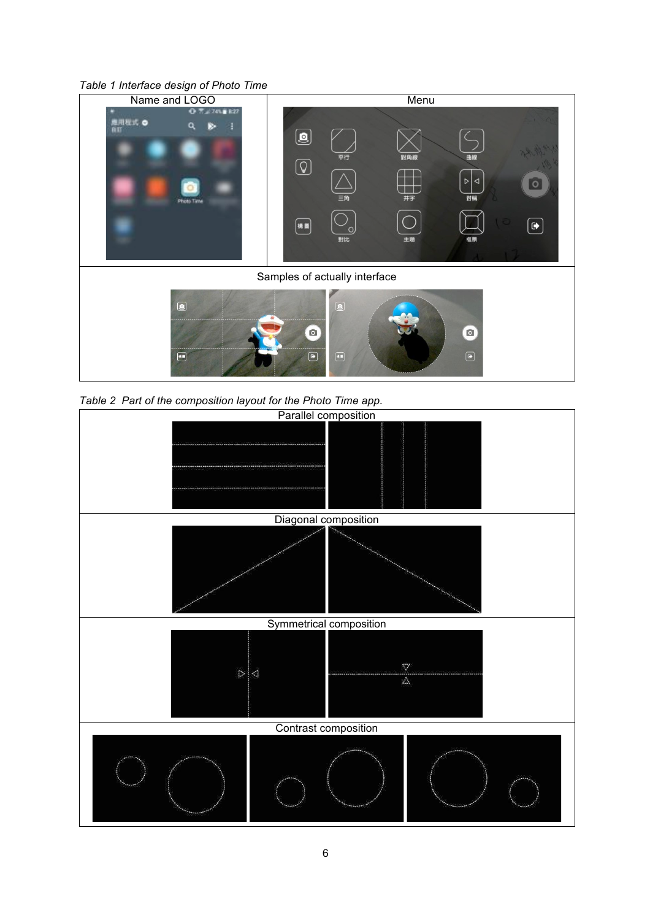





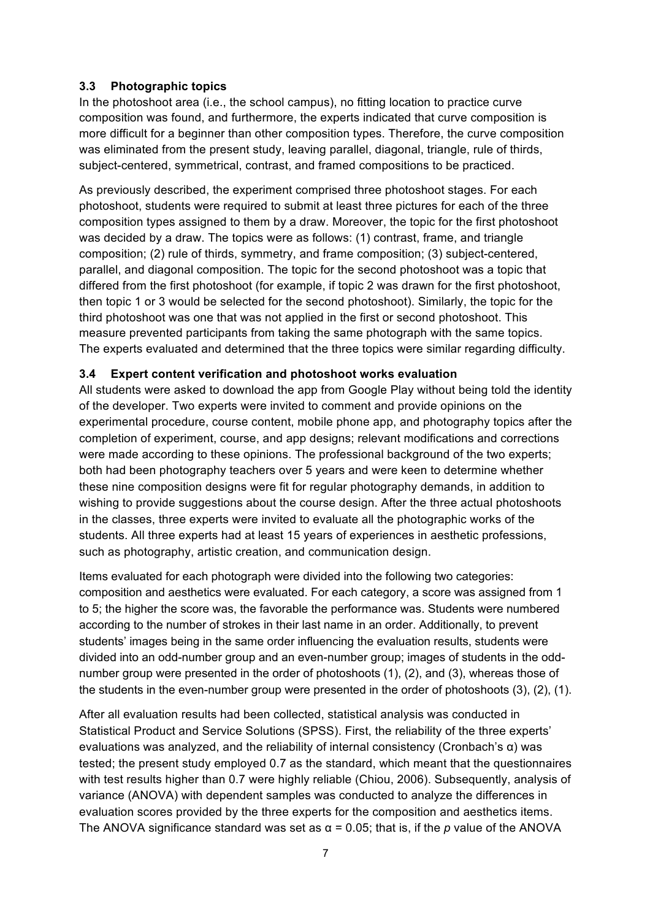### **3.3 Photographic topics**

In the photoshoot area (i.e., the school campus), no fitting location to practice curve composition was found, and furthermore, the experts indicated that curve composition is more difficult for a beginner than other composition types. Therefore, the curve composition was eliminated from the present study, leaving parallel, diagonal, triangle, rule of thirds, subject-centered, symmetrical, contrast, and framed compositions to be practiced.

As previously described, the experiment comprised three photoshoot stages. For each photoshoot, students were required to submit at least three pictures for each of the three composition types assigned to them by a draw. Moreover, the topic for the first photoshoot was decided by a draw. The topics were as follows: (1) contrast, frame, and triangle composition; (2) rule of thirds, symmetry, and frame composition; (3) subject-centered, parallel, and diagonal composition. The topic for the second photoshoot was a topic that differed from the first photoshoot (for example, if topic 2 was drawn for the first photoshoot, then topic 1 or 3 would be selected for the second photoshoot). Similarly, the topic for the third photoshoot was one that was not applied in the first or second photoshoot. This measure prevented participants from taking the same photograph with the same topics. The experts evaluated and determined that the three topics were similar regarding difficulty.

### **3.4 Expert content verification and photoshoot works evaluation**

All students were asked to download the app from Google Play without being told the identity of the developer. Two experts were invited to comment and provide opinions on the experimental procedure, course content, mobile phone app, and photography topics after the completion of experiment, course, and app designs; relevant modifications and corrections were made according to these opinions. The professional background of the two experts; both had been photography teachers over 5 years and were keen to determine whether these nine composition designs were fit for regular photography demands, in addition to wishing to provide suggestions about the course design. After the three actual photoshoots in the classes, three experts were invited to evaluate all the photographic works of the students. All three experts had at least 15 years of experiences in aesthetic professions, such as photography, artistic creation, and communication design.

Items evaluated for each photograph were divided into the following two categories: composition and aesthetics were evaluated. For each category, a score was assigned from 1 to 5; the higher the score was, the favorable the performance was. Students were numbered according to the number of strokes in their last name in an order. Additionally, to prevent students' images being in the same order influencing the evaluation results, students were divided into an odd-number group and an even-number group; images of students in the oddnumber group were presented in the order of photoshoots (1), (2), and (3), whereas those of the students in the even-number group were presented in the order of photoshoots (3), (2), (1).

After all evaluation results had been collected, statistical analysis was conducted in Statistical Product and Service Solutions (SPSS). First, the reliability of the three experts' evaluations was analyzed, and the reliability of internal consistency (Cronbach's α) was tested; the present study employed 0.7 as the standard, which meant that the questionnaires with test results higher than 0.7 were highly reliable (Chiou, 2006). Subsequently, analysis of variance (ANOVA) with dependent samples was conducted to analyze the differences in evaluation scores provided by the three experts for the composition and aesthetics items. The ANOVA significance standard was set as  $\alpha$  = 0.05; that is, if the *p* value of the ANOVA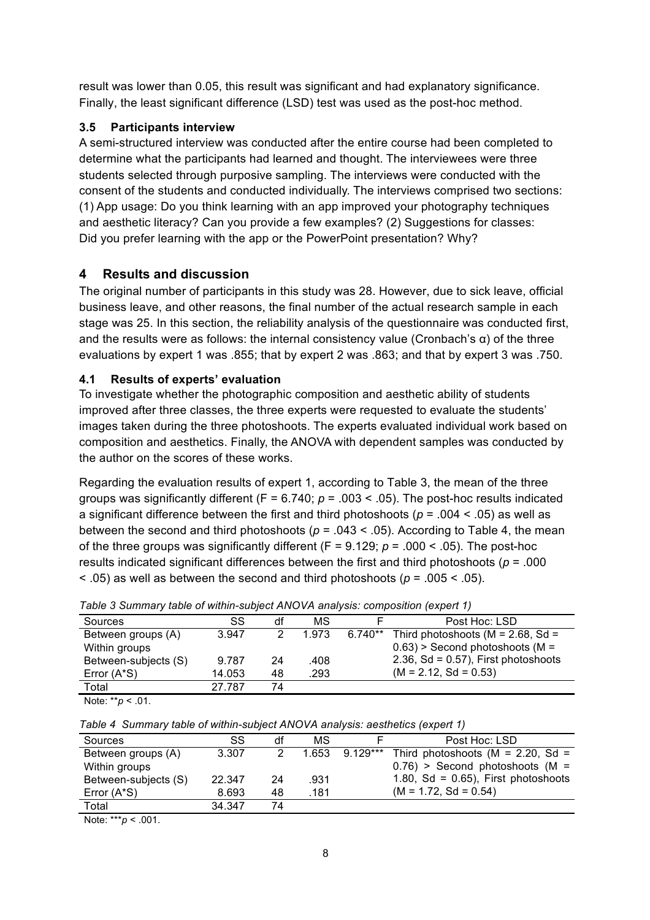result was lower than 0.05, this result was significant and had explanatory significance. Finally, the least significant difference (LSD) test was used as the post-hoc method.

## **3.5 Participants interview**

A semi-structured interview was conducted after the entire course had been completed to determine what the participants had learned and thought. The interviewees were three students selected through purposive sampling. The interviews were conducted with the consent of the students and conducted individually. The interviews comprised two sections: (1) App usage: Do you think learning with an app improved your photography techniques and aesthetic literacy? Can you provide a few examples? (2) Suggestions for classes: Did you prefer learning with the app or the PowerPoint presentation? Why?

# **4 Results and discussion**

The original number of participants in this study was 28. However, due to sick leave, official business leave, and other reasons, the final number of the actual research sample in each stage was 25. In this section, the reliability analysis of the questionnaire was conducted first, and the results were as follows: the internal consistency value (Cronbach's  $\alpha$ ) of the three evaluations by expert 1 was .855; that by expert 2 was .863; and that by expert 3 was .750.

# **4.1 Results of experts' evaluation**

To investigate whether the photographic composition and aesthetic ability of students improved after three classes, the three experts were requested to evaluate the students' images taken during the three photoshoots. The experts evaluated individual work based on composition and aesthetics. Finally, the ANOVA with dependent samples was conducted by the author on the scores of these works.

Regarding the evaluation results of expert 1, according to Table 3, the mean of the three groups was significantly different ( $F = 6.740$ ;  $p = .003 < .05$ ). The post-hoc results indicated a significant difference between the first and third photoshoots (*p* = .004 < .05) as well as between the second and third photoshoots ( $p = .043 < .05$ ). According to Table 4, the mean of the three groups was significantly different (F = 9.129; *p* = .000 < .05). The post-hoc results indicated significant differences between the first and third photoshoots (*p* = .000 < .05) as well as between the second and third photoshoots (*p* = .005 < .05).

| Sources                                                                                       | SS     | df | МS    |           | Post Hoc: LSD                          |
|-----------------------------------------------------------------------------------------------|--------|----|-------|-----------|----------------------------------------|
| Between groups (A)                                                                            | 3.947  | 2  | 1.973 | $6.740**$ | Third photoshoots ( $M = 2.68$ , Sd =  |
| Within groups                                                                                 |        |    |       |           | $0.63$ ) > Second photoshoots (M =     |
| Between-subjects (S)                                                                          | 9.787  | 24 | .408  |           | 2.36, Sd = $0.57$ ), First photoshoots |
| Error (A*S)                                                                                   | 14.053 | 48 | .293  |           | $(M = 2.12, Sd = 0.53)$                |
| Total                                                                                         | 27.787 | 74 |       |           |                                        |
| $\mathbf{A}$ , and $\mathbf{A}$ , and $\mathbf{A}$ , and $\mathbf{A}$<br>$\sim$ $\sim$ $\sim$ |        |    |       |           |                                        |

*Table 3 Summary table of within-subject ANOVA analysis: composition (expert 1)*

Note: \*\**p* < .01.

|  | Table 4 Summary table of within-subject ANOVA analysis: aesthetics (expert 1) |  |
|--|-------------------------------------------------------------------------------|--|
|  |                                                                               |  |

| Sources                                                                                                                                                                                                                                                | SS     | df | МS    |          | Post Hoc: LSD                          |
|--------------------------------------------------------------------------------------------------------------------------------------------------------------------------------------------------------------------------------------------------------|--------|----|-------|----------|----------------------------------------|
| Between groups (A)                                                                                                                                                                                                                                     | 3.307  |    | 1.653 | 9.129*** | Third photoshoots ( $M = 2.20$ , Sd =  |
| Within groups                                                                                                                                                                                                                                          |        |    |       |          | $0.76$ > Second photoshoots (M =       |
| Between-subjects (S)                                                                                                                                                                                                                                   | 22.347 | 24 | .931  |          | 1.80, Sd = $0.65$ ), First photoshoots |
| Error $(A*S)$                                                                                                                                                                                                                                          | 8.693  | 48 | .181  |          | $(M = 1.72, Sd = 0.54)$                |
| Total                                                                                                                                                                                                                                                  | 34.347 | 74 |       |          |                                        |
| the contract of the contract of the contract of the contract of the contract of the contract of the contract of the contract of the contract of the contract of the contract of the contract of the contract of the contract o<br>$\sim$ $\sim$ $\sim$ |        |    |       |          |                                        |

Note: \*\*\**p* < .001.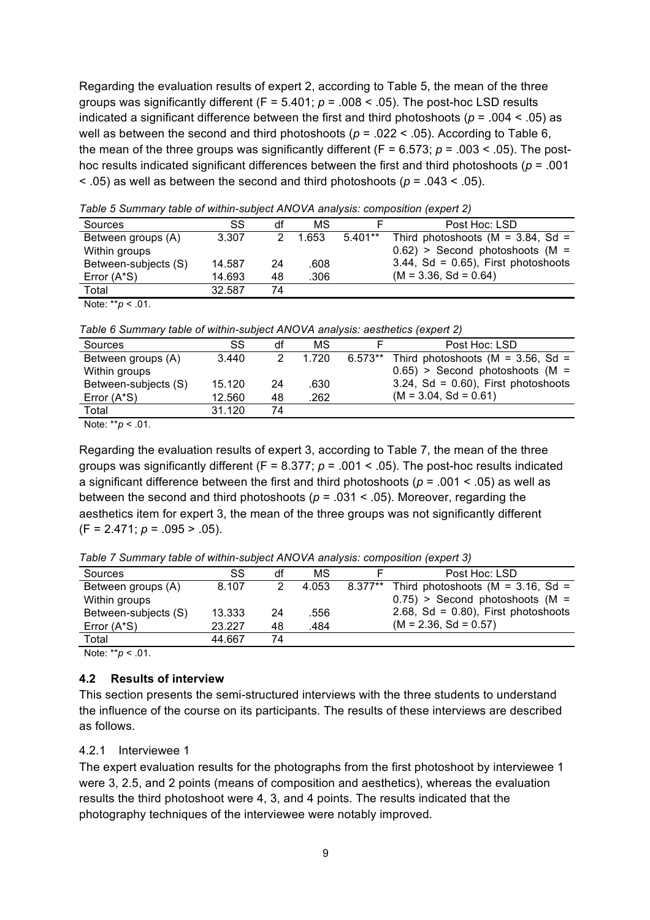Regarding the evaluation results of expert 2, according to Table 5, the mean of the three groups was significantly different (F = 5.401; *p* = .008 < .05). The post-hoc LSD results indicated a significant difference between the first and third photoshoots (*p* = .004 < .05) as well as between the second and third photoshoots (*p* = .022 < .05). According to Table 6, the mean of the three groups was significantly different ( $F = 6.573$ ;  $p = .003 < .05$ ). The posthoc results indicated significant differences between the first and third photoshoots (*p* = .001 < .05) as well as between the second and third photoshoots (*p* = .043 < .05).

| Sources              | SS     | df | MS    |           | Post Hoc: LSD                          |
|----------------------|--------|----|-------|-----------|----------------------------------------|
| Between groups (A)   | 3.307  |    | 1.653 | $5.401**$ | Third photoshoots ( $M = 3.84$ , Sd =  |
| Within groups        |        |    |       |           | $0.62$ ) > Second photoshoots (M =     |
| Between-subjects (S) | 14.587 | 24 | .608  |           | $3.44$ , Sd = 0.65), First photoshoots |
| Error (A*S)          | 14.693 | 48 | .306  |           | $(M = 3.36, Sd = 0.64)$                |
| Total                | 32.587 | 74 |       |           |                                        |
|                      |        |    |       |           |                                        |

*Table 5 Summary table of within-subject ANOVA analysis: composition (expert 2)*

Note: \*\**p* < .01.

*Table 6 Summary table of within-subject ANOVA analysis: aesthetics (expert 2)*

| Sources              | SS     | df | МS    |           | Post Hoc: LSD                          |
|----------------------|--------|----|-------|-----------|----------------------------------------|
| Between groups (A)   | 3.440  |    | 1.720 | $6.573**$ | Third photoshoots ( $M = 3.56$ , Sd =  |
| Within groups        |        |    |       |           | $0.65$ ) > Second photoshoots (M =     |
| Between-subjects (S) | 15.120 | 24 | .630  |           | $3.24$ , Sd = 0.60), First photoshoots |
| Error (A*S)          | 12.560 | 48 | .262  |           | $(M = 3.04, Sd = 0.61)$                |
| Total                | 31.120 | 74 |       |           |                                        |
|                      |        |    |       |           |                                        |

Note: \*\**p* < .01.

Regarding the evaluation results of expert 3, according to Table 7, the mean of the three groups was significantly different (F = 8.377; *p* = .001 < .05). The post-hoc results indicated a significant difference between the first and third photoshoots (*p* = .001 < .05) as well as between the second and third photoshoots (*p* = .031 < .05). Moreover, regarding the aesthetics item for expert 3, the mean of the three groups was not significantly different (F = 2.471; *p* = .095 > .05).

*Table 7 Summary table of within-subject ANOVA analysis: composition (expert 3)*

| Sources                                                                                                                                                                                                                                         | SS     | df | МS    | Post Hoc: LSD                                 |
|-------------------------------------------------------------------------------------------------------------------------------------------------------------------------------------------------------------------------------------------------|--------|----|-------|-----------------------------------------------|
| Between groups (A)                                                                                                                                                                                                                              | 8.107  | 2  | 4.053 | 8.377** Third photoshoots ( $M = 3.16$ , Sd = |
| Within groups                                                                                                                                                                                                                                   |        |    |       | $0.75$ > Second photoshoots (M =              |
| Between-subjects (S)                                                                                                                                                                                                                            | 13.333 | 24 | .556  | 2.68, Sd = $0.80$ ), First photoshoots        |
| Error $(A^*S)$                                                                                                                                                                                                                                  | 23.227 | 48 | .484  | $(M = 2.36, Sd = 0.57)$                       |
| Total                                                                                                                                                                                                                                           | 44.667 | 74 |       |                                               |
| the state of the state of the state of the state of the state of the state of the state of the state of the state of the state of the state of the state of the state of the state of the state of the state of the state of t<br>$\sim$ $\sim$ |        |    |       |                                               |

Note: \*\**p* < .01.

#### **4.2 Results of interview**

This section presents the semi-structured interviews with the three students to understand the influence of the course on its participants. The results of these interviews are described as follows.

#### 4.2.1 Interviewee 1

The expert evaluation results for the photographs from the first photoshoot by interviewee 1 were 3, 2.5, and 2 points (means of composition and aesthetics), whereas the evaluation results the third photoshoot were 4, 3, and 4 points. The results indicated that the photography techniques of the interviewee were notably improved.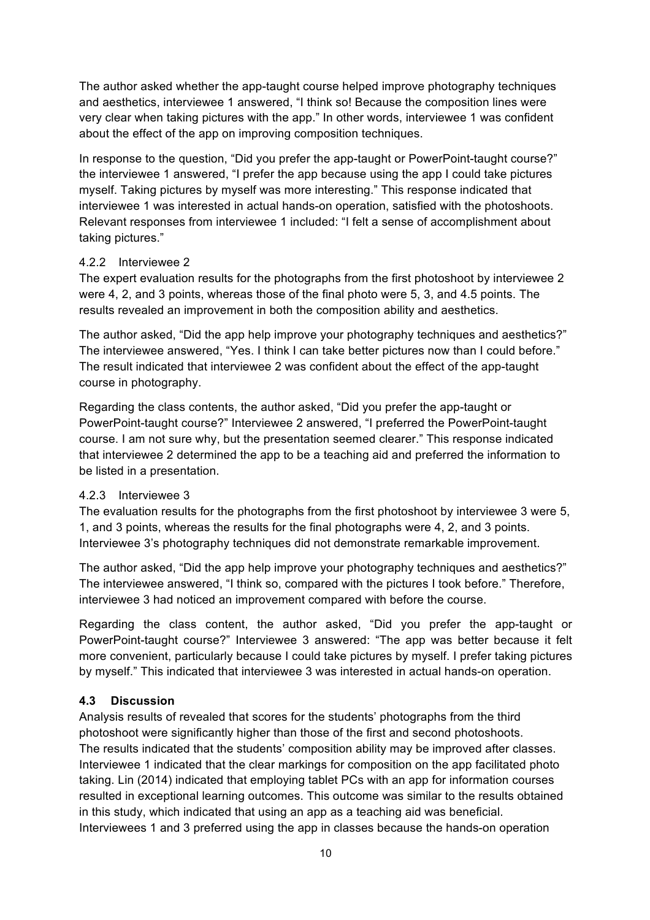The author asked whether the app-taught course helped improve photography techniques and aesthetics, interviewee 1 answered, "I think so! Because the composition lines were very clear when taking pictures with the app." In other words, interviewee 1 was confident about the effect of the app on improving composition techniques.

In response to the question, "Did you prefer the app-taught or PowerPoint-taught course?" the interviewee 1 answered, "I prefer the app because using the app I could take pictures myself. Taking pictures by myself was more interesting." This response indicated that interviewee 1 was interested in actual hands-on operation, satisfied with the photoshoots. Relevant responses from interviewee 1 included: "I felt a sense of accomplishment about taking pictures."

### 4.2.2 Interviewee 2

The expert evaluation results for the photographs from the first photoshoot by interviewee 2 were 4, 2, and 3 points, whereas those of the final photo were 5, 3, and 4.5 points. The results revealed an improvement in both the composition ability and aesthetics.

The author asked, "Did the app help improve your photography techniques and aesthetics?" The interviewee answered, "Yes. I think I can take better pictures now than I could before." The result indicated that interviewee 2 was confident about the effect of the app-taught course in photography.

Regarding the class contents, the author asked, "Did you prefer the app-taught or PowerPoint-taught course?" Interviewee 2 answered, "I preferred the PowerPoint-taught course. I am not sure why, but the presentation seemed clearer." This response indicated that interviewee 2 determined the app to be a teaching aid and preferred the information to be listed in a presentation.

### 4.2.3 Interviewee 3

The evaluation results for the photographs from the first photoshoot by interviewee 3 were 5, 1, and 3 points, whereas the results for the final photographs were 4, 2, and 3 points. Interviewee 3's photography techniques did not demonstrate remarkable improvement.

The author asked, "Did the app help improve your photography techniques and aesthetics?" The interviewee answered, "I think so, compared with the pictures I took before." Therefore, interviewee 3 had noticed an improvement compared with before the course.

Regarding the class content, the author asked, "Did you prefer the app-taught or PowerPoint-taught course?" Interviewee 3 answered: "The app was better because it felt more convenient, particularly because I could take pictures by myself. I prefer taking pictures by myself." This indicated that interviewee 3 was interested in actual hands-on operation.

### **4.3 Discussion**

Analysis results of revealed that scores for the students' photographs from the third photoshoot were significantly higher than those of the first and second photoshoots. The results indicated that the students' composition ability may be improved after classes. Interviewee 1 indicated that the clear markings for composition on the app facilitated photo taking. Lin (2014) indicated that employing tablet PCs with an app for information courses resulted in exceptional learning outcomes. This outcome was similar to the results obtained in this study, which indicated that using an app as a teaching aid was beneficial. Interviewees 1 and 3 preferred using the app in classes because the hands-on operation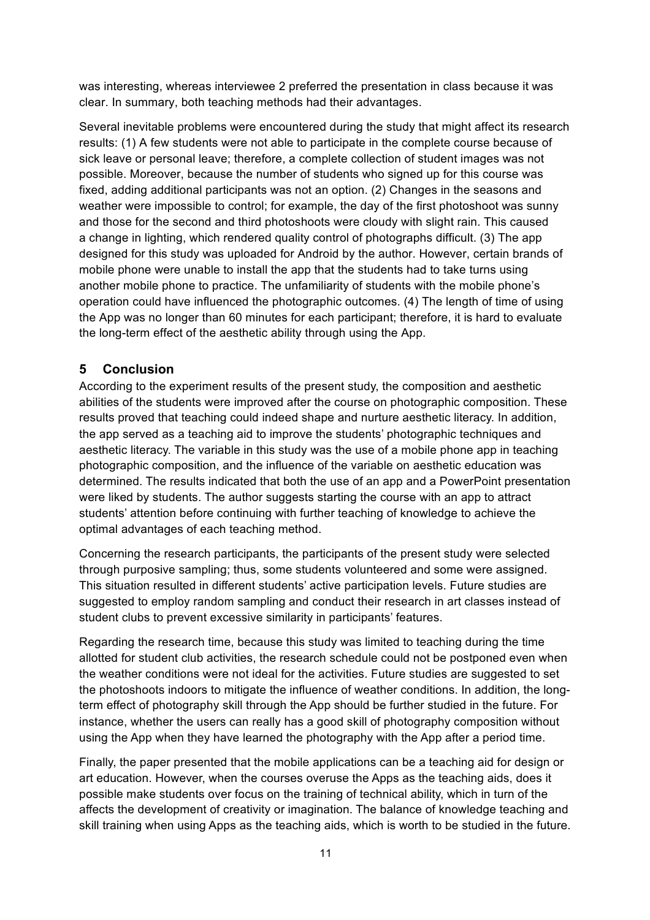was interesting, whereas interviewee 2 preferred the presentation in class because it was clear. In summary, both teaching methods had their advantages.

Several inevitable problems were encountered during the study that might affect its research results: (1) A few students were not able to participate in the complete course because of sick leave or personal leave; therefore, a complete collection of student images was not possible. Moreover, because the number of students who signed up for this course was fixed, adding additional participants was not an option. (2) Changes in the seasons and weather were impossible to control; for example, the day of the first photoshoot was sunny and those for the second and third photoshoots were cloudy with slight rain. This caused a change in lighting, which rendered quality control of photographs difficult. (3) The app designed for this study was uploaded for Android by the author. However, certain brands of mobile phone were unable to install the app that the students had to take turns using another mobile phone to practice. The unfamiliarity of students with the mobile phone's operation could have influenced the photographic outcomes. (4) The length of time of using the App was no longer than 60 minutes for each participant; therefore, it is hard to evaluate the long-term effect of the aesthetic ability through using the App.

### **5 Conclusion**

According to the experiment results of the present study, the composition and aesthetic abilities of the students were improved after the course on photographic composition. These results proved that teaching could indeed shape and nurture aesthetic literacy. In addition, the app served as a teaching aid to improve the students' photographic techniques and aesthetic literacy. The variable in this study was the use of a mobile phone app in teaching photographic composition, and the influence of the variable on aesthetic education was determined. The results indicated that both the use of an app and a PowerPoint presentation were liked by students. The author suggests starting the course with an app to attract students' attention before continuing with further teaching of knowledge to achieve the optimal advantages of each teaching method.

Concerning the research participants, the participants of the present study were selected through purposive sampling; thus, some students volunteered and some were assigned. This situation resulted in different students' active participation levels. Future studies are suggested to employ random sampling and conduct their research in art classes instead of student clubs to prevent excessive similarity in participants' features.

Regarding the research time, because this study was limited to teaching during the time allotted for student club activities, the research schedule could not be postponed even when the weather conditions were not ideal for the activities. Future studies are suggested to set the photoshoots indoors to mitigate the influence of weather conditions. In addition, the longterm effect of photography skill through the App should be further studied in the future. For instance, whether the users can really has a good skill of photography composition without using the App when they have learned the photography with the App after a period time.

Finally, the paper presented that the mobile applications can be a teaching aid for design or art education. However, when the courses overuse the Apps as the teaching aids, does it possible make students over focus on the training of technical ability, which in turn of the affects the development of creativity or imagination. The balance of knowledge teaching and skill training when using Apps as the teaching aids, which is worth to be studied in the future.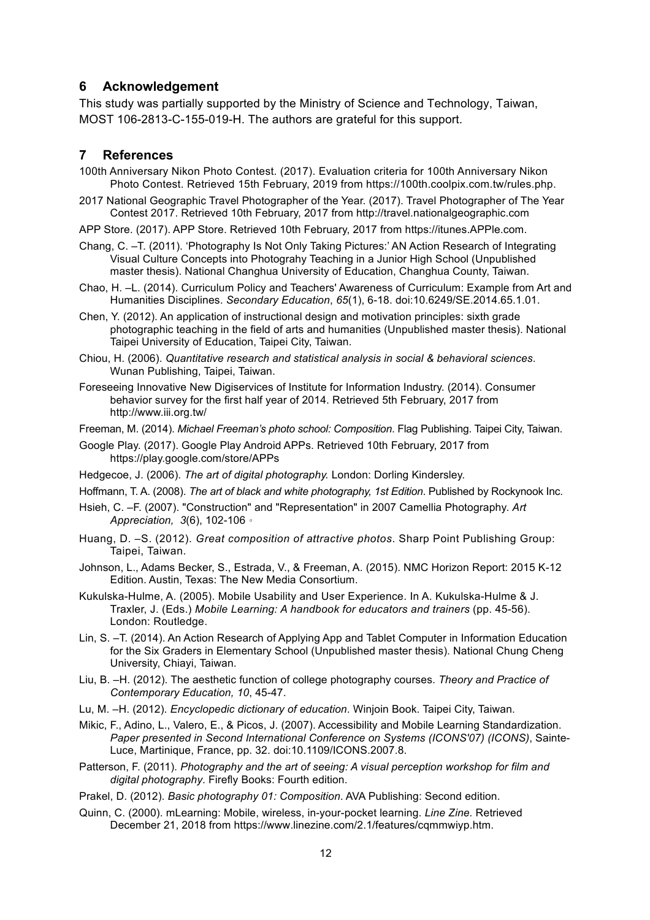### **6 Acknowledgement**

This study was partially supported by the Ministry of Science and Technology, Taiwan, MOST 106-2813-C-155-019-H. The authors are grateful for this support.

#### **7 References**

- 100th Anniversary Nikon Photo Contest. (2017). Evaluation criteria for 100th Anniversary Nikon Photo Contest. Retrieved 15th February, 2019 from https://100th.coolpix.com.tw/rules.php.
- 2017 National Geographic Travel Photographer of the Year. (2017). Travel Photographer of The Year Contest 2017. Retrieved 10th February, 2017 from http://travel.nationalgeographic.com
- APP Store. (2017). APP Store. Retrieved 10th February, 2017 from https://itunes.APPle.com.
- Chang, C. –T. (2011). 'Photography Is Not Only Taking Pictures:' AN Action Research of Integrating Visual Culture Concepts into Photograhy Teaching in a Junior High School (Unpublished master thesis). National Changhua University of Education, Changhua County, Taiwan.
- Chao, H. –L. (2014). Curriculum Policy and Teachers' Awareness of Curriculum: Example from Art and Humanities Disciplines. *Secondary Education*, *65*(1), 6-18. doi:10.6249/SE.2014.65.1.01.
- Chen, Y. (2012). An application of instructional design and motivation principles: sixth grade photographic teaching in the field of arts and humanities (Unpublished master thesis). National Taipei University of Education, Taipei City, Taiwan.
- Chiou, H. (2006). *Quantitative research and statistical analysis in social & behavioral sciences*. Wunan Publishing, Taipei, Taiwan.
- Foreseeing Innovative New Digiservices of Institute for Information Industry. (2014). Consumer behavior survey for the first half year of 2014. Retrieved 5th February, 2017 from http://www.iii.org.tw/
- Freeman, M. (2014). *Michael Freeman's photo school: Composition*. Flag Publishing. Taipei City, Taiwan.
- Google Play. (2017). Google Play Android APPs. Retrieved 10th February, 2017 from https://play.google.com/store/APPs
- Hedgecoe, J. (2006). *The art of digital photography.* London: Dorling Kindersley.
- Hoffmann, T. A. (2008). *The art of black and white photography, 1st Edition*. Published by Rockynook Inc.
- Hsieh, C. –F. (2007). "Construction" and "Representation" in 2007 Camellia Photography. *Art Appreciation, 3*(6), 102-106。
- Huang, D. –S. (2012). *Great composition of attractive photos*. Sharp Point Publishing Group: Taipei, Taiwan.
- Johnson, L., Adams Becker, S., Estrada, V., & Freeman, A. (2015). NMC Horizon Report: 2015 K-12 Edition. Austin, Texas: The New Media Consortium.
- Kukulska-Hulme, A. (2005). Mobile Usability and User Experience. In A. Kukulska-Hulme & J. Traxler, J. (Eds.) *Mobile Learning: A handbook for educators and trainers* (pp. 45-56). London: Routledge.
- Lin, S. –T. (2014). An Action Research of Applying App and Tablet Computer in Information Education for the Six Graders in Elementary School (Unpublished master thesis). National Chung Cheng University, Chiayi, Taiwan.
- Liu, B. –H. (2012). The aesthetic function of college photography courses. *Theory and Practice of Contemporary Education, 10*, 45-47.
- Lu, M. –H. (2012). *Encyclopedic dictionary of education*. Winjoin Book. Taipei City, Taiwan.
- Mikic, F., Adino, L., Valero, E., & Picos, J. (2007). Accessibility and Mobile Learning Standardization. *Paper presented in Second International Conference on Systems (ICONS'07) (ICONS)*, Sainte-Luce, Martinique, France, pp. 32. doi:10.1109/ICONS.2007.8.
- Patterson, F. (2011). *Photography and the art of seeing: A visual perception workshop for film and digital photography*. Firefly Books: Fourth edition.
- Prakel, D. (2012). *Basic photography 01: Composition*. AVA Publishing: Second edition.
- Quinn, C. (2000). mLearning: Mobile, wireless, in-your-pocket learning. *Line Zine.* Retrieved December 21, 2018 from https://www.linezine.com/2.1/features/cqmmwiyp.htm.